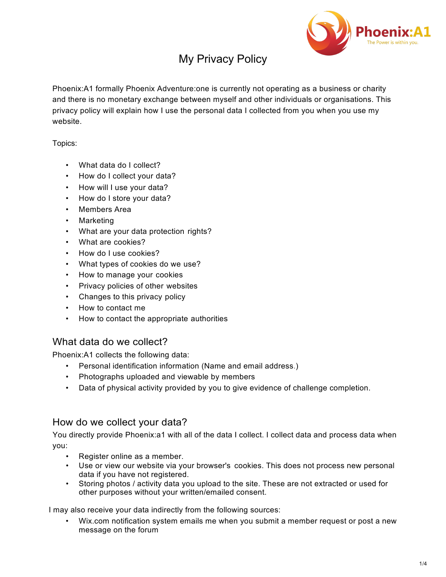

# My Privacy Policy

Phoenix:A1 formally Phoenix Adventure:one is currently not operating as a business or charity and there is no monetary exchange between myself and other individuals or organisations. This privacy policy will explain how I use the personal data I collected from you when you use my website.

Topics:

- What data do I collect?
- How do I collect your data?
- How will I use your data?
- How do I store your data?
- Members Area
- Marketing
- What are your data protection rights?
- What are cookies?
- How do I use cookies?
- What types of cookies do we use?
- How to manage your cookies
- Privacy policies of other websites
- Changes to this privacy policy
- How to contact me
- How to contact the appropriate authorities

## What data do we collect?

Phoenix:A1 collects the following data:

- Personal identification information (Name and email address.)
- Photographs uploaded and viewable by members
- Data of physical activity provided by you to give evidence of challenge completion.

## How do we collect your data?

You directly provide Phoenix:a1 with all of the data I collect. I collect data and process data when you:

- Register online as a member.
- Use or view our website via your browser's cookies. This does not process new personal data if you have not registered.
- Storing photos / activity data you upload to the site. These are not extracted or used for other purposes without your written/emailed consent.

I may also receive your data indirectly from the following sources:

• Wix.com notification system emails me when you submit a member request or post a new message on the forum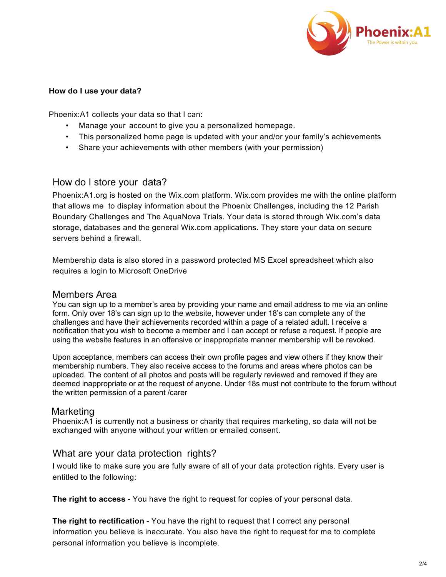

#### **How do I use your data?**

Phoenix:A1 collects your data so that I can:

- Manage your account to give you a personalized homepage.
- This personalized home page is updated with your and/or your family's achievements
- Share your achievements with other members (with your permission)

#### How do I store your data?

Phoenix:A1.org is hosted on the Wix.com platform. Wix.com provides me with the online platform that allows me to display information about the Phoenix Challenges, including the 12 Parish Boundary Challenges and The AquaNova Trials. Your data is stored through Wix.com's data storage, databases and the general Wix.com applications. They store your data on secure servers behind a firewall.

Membership data is also stored in a password protected MS Excel spreadsheet which also requires a login to Microsoft OneDrive

#### Members Area

You can sign up to a member's area by providing your name and email address to me via an online form. Only over 18's can sign up to the website, however under 18's can complete any of the challenges and have their achievements recorded within a page of a related adult. I receive a notification that you wish to become a member and I can accept or refuse a request. If people are using the website features in an offensive or inappropriate manner membership will be revoked.

Upon acceptance, members can access their own profile pages and view others if they know their membership numbers. They also receive access to the forums and areas where photos can be uploaded. The content of all photos and posts will be regularly reviewed and removed if they are deemed inappropriate or at the request of anyone. Under 18s must not contribute to the forum without the written permission of a parent /carer

#### Marketing

Phoenix:A1 is currently not a business or charity that requires marketing, so data will not be exchanged with anyone without your written or emailed consent.

#### What are your data protection rights?

I would like to make sure you are fully aware of all of your data protection rights. Every user is entitled to the following:

**The right to access** - You have the right to request for copies of your personal data.

**The right to rectification** - You have the right to request that I correct any personal information you believe is inaccurate. You also have the right to request for me to complete personal information you believe is incomplete.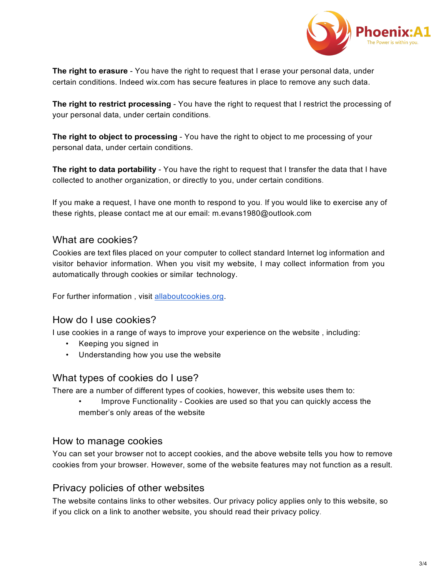

**The right to erasure** - You have the right to request that I erase your personal data, under certain conditions. Indeed wix.com has secure features in place to remove any such data.

**The right to restrict processing** - You have the right to request that I restrict the processing of your personal data, under certain conditions.

**The right to object to processing** - You have the right to object to me processing of your personal data, under certain conditions.

**The right to data portability** - You have the right to request that I transfer the data that I have collected to another organization, or directly to you, under certain conditions.

If you make a request, I have one month to respond to you. If you would like to exercise any of these rights, please contact me at our email: m.evans1980@outlook.com

# What are cookies?

Cookies are text files placed on your computer to collect standard Internet log information and visitor behavior information. When you visit my website, I may collect information from you automatically through cookies or similar technology.

For further information, visit allaboutcookies.org.

## How do I use cookies?

I use cookies in a range of ways to improve your experience on the website , including:

- Keeping you signed in
- Understanding how you use the website

#### What types of cookies do I use?

There are a number of different types of cookies, however, this website uses them to:

• Improve Functionality - Cookies are used so that you can quickly access the member's only areas of the website

#### How to manage cookies

You can set your browser not to accept cookies, and the above website tells you how to remove cookies from your browser. However, some of the website features may not function as a result.

## Privacy policies of other websites

The website contains links to other websites. Our privacy policy applies only to this website, so if you click on a link to another website, you should read their privacy policy.